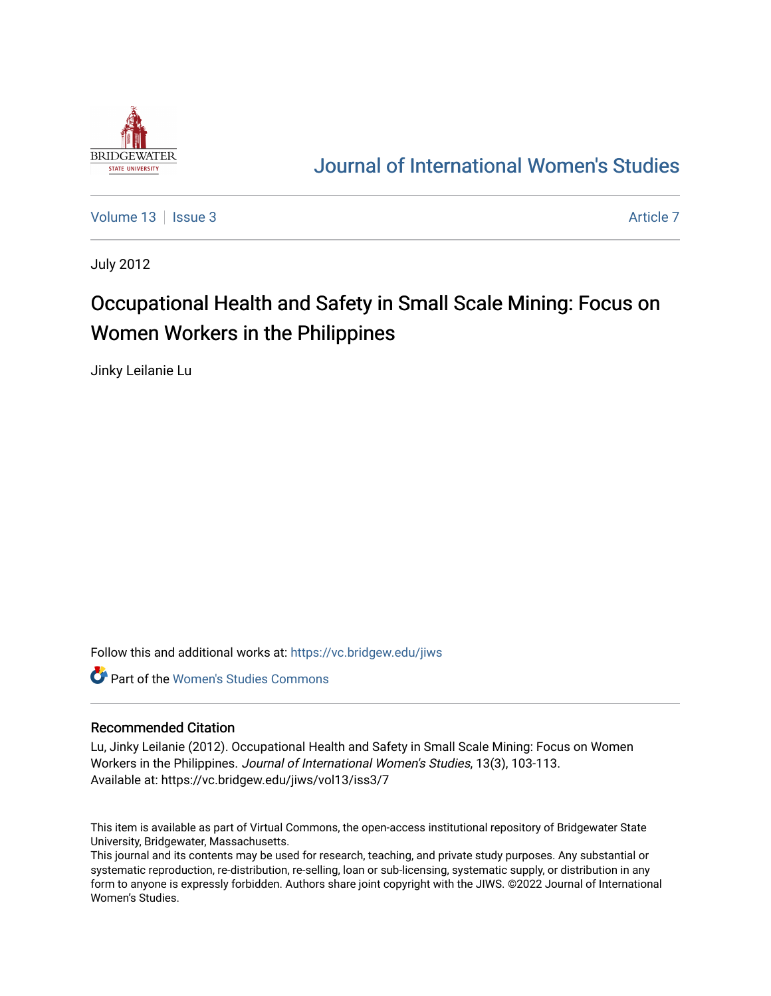

## [Journal of International Women's Studies](https://vc.bridgew.edu/jiws)

[Volume 13](https://vc.bridgew.edu/jiws/vol13) Setus 2 [Article 7](https://vc.bridgew.edu/jiws/vol13/iss3/7) Article 7 Article 7 Article 7 Article 7 Article 7

July 2012

# Occupational Health and Safety in Small Scale Mining: Focus on Women Workers in the Philippines

Jinky Leilanie Lu

Follow this and additional works at: [https://vc.bridgew.edu/jiws](https://vc.bridgew.edu/jiws?utm_source=vc.bridgew.edu%2Fjiws%2Fvol13%2Fiss3%2F7&utm_medium=PDF&utm_campaign=PDFCoverPages)

**C** Part of the Women's Studies Commons

#### Recommended Citation

Lu, Jinky Leilanie (2012). Occupational Health and Safety in Small Scale Mining: Focus on Women Workers in the Philippines. Journal of International Women's Studies, 13(3), 103-113. Available at: https://vc.bridgew.edu/jiws/vol13/iss3/7

This item is available as part of Virtual Commons, the open-access institutional repository of Bridgewater State University, Bridgewater, Massachusetts.

This journal and its contents may be used for research, teaching, and private study purposes. Any substantial or systematic reproduction, re-distribution, re-selling, loan or sub-licensing, systematic supply, or distribution in any form to anyone is expressly forbidden. Authors share joint copyright with the JIWS. ©2022 Journal of International Women's Studies.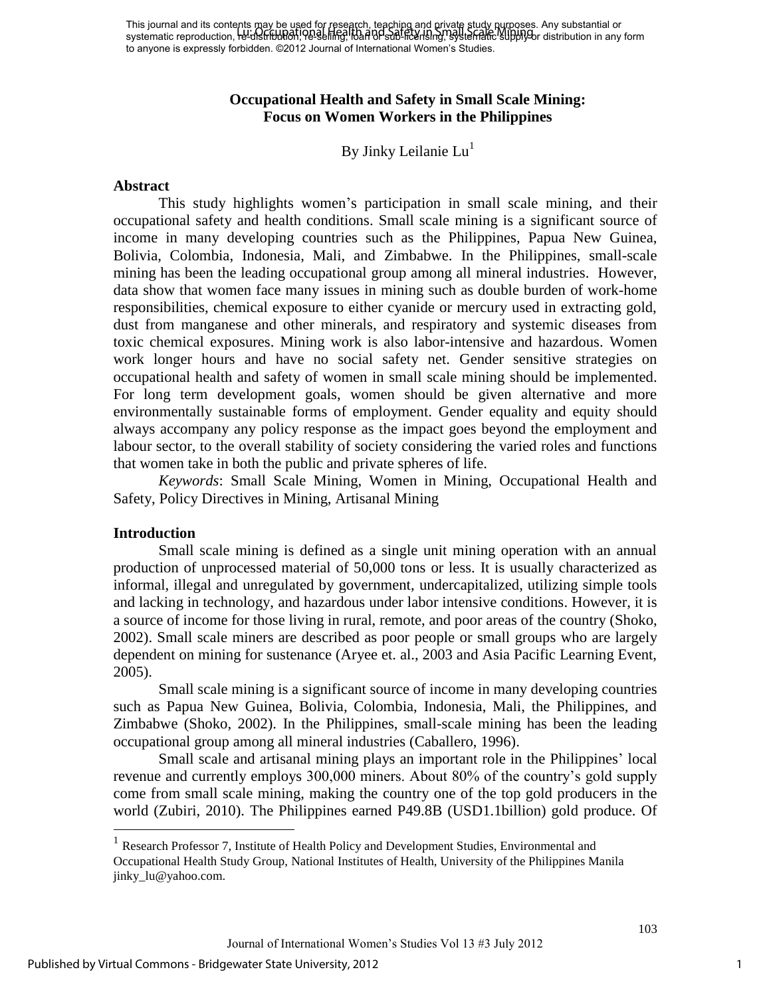This journal and its contents may be used for research, teaching and private study purposes. Any substantial or This journal and its concents hay be a steed in Free Health is represented to the redistribution of distribution in any form systematic reproduction, Health Bull Scale Mining, and Safety in Supply or distribution in any fo to anyone is expressly forbidden. ©2012 Journal of International Women's Studies.

#### **Occupational Health and Safety in Small Scale Mining: Focus on Women Workers in the Philippines**

By Jinky Leilanie  $Lu<sup>1</sup>$ 

#### **Abstract**

This study highlights women's participation in small scale mining, and their occupational safety and health conditions. Small scale mining is a significant source of income in many developing countries such as the Philippines, Papua New Guinea, Bolivia, Colombia, Indonesia, Mali, and Zimbabwe. In the Philippines, small-scale mining has been the leading occupational group among all mineral industries. However, data show that women face many issues in mining such as double burden of work-home responsibilities, chemical exposure to either cyanide or mercury used in extracting gold, dust from manganese and other minerals, and respiratory and systemic diseases from toxic chemical exposures. Mining work is also labor-intensive and hazardous. Women work longer hours and have no social safety net. Gender sensitive strategies on occupational health and safety of women in small scale mining should be implemented. For long term development goals, women should be given alternative and more environmentally sustainable forms of employment. Gender equality and equity should always accompany any policy response as the impact goes beyond the employment and labour sector, to the overall stability of society considering the varied roles and functions that women take in both the public and private spheres of life.

*Keywords*: Small Scale Mining, Women in Mining, Occupational Health and Safety, Policy Directives in Mining, Artisanal Mining

#### **Introduction**

 $\overline{a}$ 

Small scale mining is defined as a single unit mining operation with an annual production of unprocessed material of 50,000 tons or less. It is usually characterized as informal, illegal and unregulated by government, undercapitalized, utilizing simple tools and lacking in technology, and hazardous under labor intensive conditions. However, it is a source of income for those living in rural, remote, and poor areas of the country (Shoko, 2002). Small scale miners are described as poor people or small groups who are largely dependent on mining for sustenance (Aryee et. al., 2003 and Asia Pacific Learning Event, 2005).

Small scale mining is a significant source of income in many developing countries such as Papua New Guinea, Bolivia, Colombia, Indonesia, Mali, the Philippines, and Zimbabwe (Shoko, 2002). In the Philippines, small-scale mining has been the leading occupational group among all mineral industries (Caballero, 1996).

Small scale and artisanal mining plays an important role in the Philippines' local revenue and currently employs 300,000 miners. About 80% of the country's gold supply come from small scale mining, making the country one of the top gold producers in the world (Zubiri, 2010). The Philippines earned P49.8B (USD1.1billion) gold produce. Of

<sup>1</sup> Research Professor 7, Institute of Health Policy and Development Studies, Environmental and Occupational Health Study Group, National Institutes of Health, University of the Philippines Manila jinky\_lu@yahoo.com.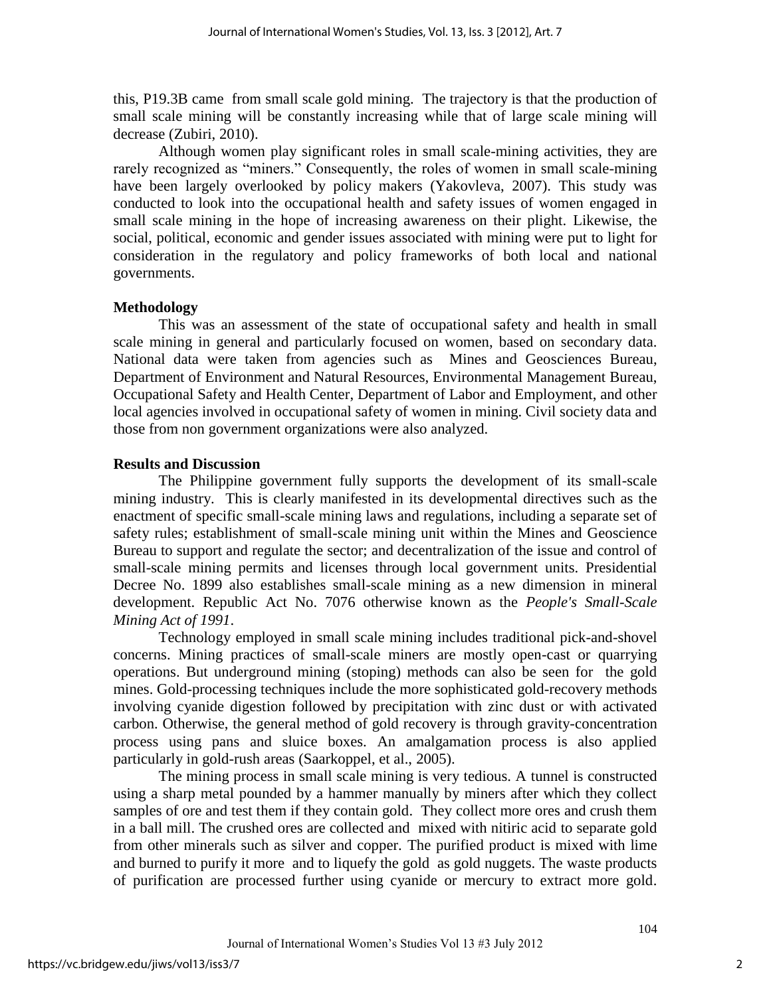this, P19.3B came from small scale gold mining. The trajectory is that the production of small scale mining will be constantly increasing while that of large scale mining will decrease (Zubiri, 2010).

Although women play significant roles in small scale-mining activities, they are rarely recognized as "miners." Consequently, the roles of women in small scale-mining have been largely overlooked by policy makers (Yakovleva, 2007). This study was conducted to look into the occupational health and safety issues of women engaged in small scale mining in the hope of increasing awareness on their plight. Likewise, the social, political, economic and gender issues associated with mining were put to light for consideration in the regulatory and policy frameworks of both local and national governments.

## **Methodology**

This was an assessment of the state of occupational safety and health in small scale mining in general and particularly focused on women, based on secondary data. National data were taken from agencies such as Mines and Geosciences Bureau, Department of Environment and Natural Resources, Environmental Management Bureau, Occupational Safety and Health Center, Department of Labor and Employment, and other local agencies involved in occupational safety of women in mining. Civil society data and those from non government organizations were also analyzed.

## **Results and Discussion**

The Philippine government fully supports the development of its small-scale mining industry. This is clearly manifested in its developmental directives such as the enactment of specific small-scale mining laws and regulations, including a separate set of safety rules; establishment of small-scale mining unit within the Mines and Geoscience Bureau to support and regulate the sector; and decentralization of the issue and control of small-scale mining permits and licenses through local government units. Presidential Decree No. 1899 also establishes small-scale mining as a new dimension in mineral development. Republic Act No. 7076 otherwise known as the *People's Small-Scale Mining Act of 1991*.

Technology employed in small scale mining includes traditional pick-and-shovel concerns. Mining practices of small-scale miners are mostly open-cast or quarrying operations. But underground mining (stoping) methods can also be seen for the gold mines. Gold-processing techniques include the more sophisticated gold-recovery methods involving cyanide digestion followed by precipitation with zinc dust or with activated carbon. Otherwise, the general method of gold recovery is through gravity-concentration process using pans and sluice boxes. An amalgamation process is also applied particularly in gold-rush areas (Saarkoppel, et al., 2005).

The mining process in small scale mining is very tedious. A tunnel is constructed using a sharp metal pounded by a hammer manually by miners after which they collect samples of ore and test them if they contain gold. They collect more ores and crush them in a ball mill. The crushed ores are collected and mixed with nitiric acid to separate gold from other minerals such as silver and copper. The purified product is mixed with lime and burned to purify it more and to liquefy the gold as gold nuggets. The waste products of purification are processed further using cyanide or mercury to extract more gold.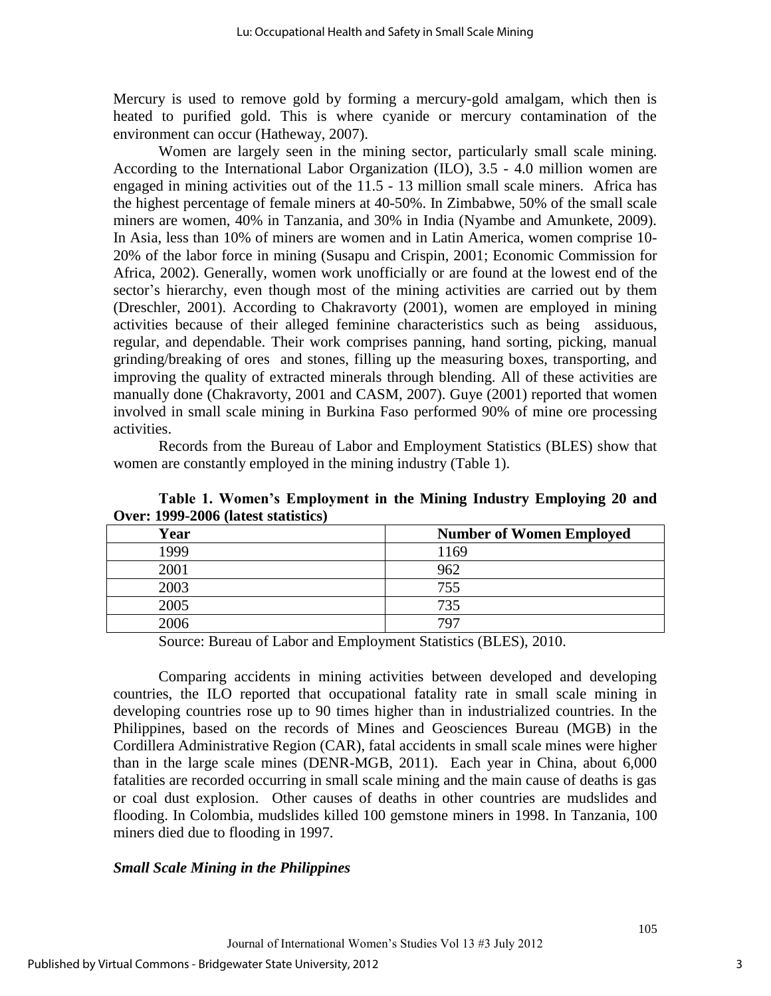Mercury is used to remove gold by forming a mercury-gold amalgam, which then is heated to purified gold. This is where cyanide or mercury contamination of the environment can occur (Hatheway, 2007).

Women are largely seen in the mining sector, particularly small scale mining. According to the International Labor Organization (ILO), 3.5 - 4.0 million women are engaged in mining activities out of the 11.5 - 13 million small scale miners. Africa has the highest percentage of female miners at 40-50%. In Zimbabwe, 50% of the small scale miners are women, 40% in Tanzania, and 30% in India (Nyambe and Amunkete, 2009). In Asia, less than 10% of miners are women and in Latin America, women comprise 10- 20% of the labor force in mining (Susapu and Crispin, 2001; Economic Commission for Africa, 2002). Generally, women work unofficially or are found at the lowest end of the sector's hierarchy, even though most of the mining activities are carried out by them (Dreschler, 2001). According to Chakravorty (2001), women are employed in mining activities because of their alleged feminine characteristics such as being assiduous, regular, and dependable. Their work comprises panning, hand sorting, picking, manual grinding/breaking of ores and stones, filling up the measuring boxes, transporting, and improving the quality of extracted minerals through blending. All of these activities are manually done (Chakravorty, 2001 and CASM, 2007). Guye (2001) reported that women involved in small scale mining in Burkina Faso performed 90% of mine ore processing activities.

Records from the Bureau of Labor and Employment Statistics (BLES) show that women are constantly employed in the mining industry (Table 1).

| $\sigma$ , $\sigma$ , $\sigma$ , $\sigma$ , $\sigma$ , $\sigma$ , $\sigma$ , $\sigma$ , $\sigma$ , $\sigma$ , $\sigma$ , $\sigma$ , $\sigma$ , $\sigma$ , $\sigma$ , $\sigma$ , $\sigma$ , $\sigma$ , $\sigma$ , $\sigma$ , $\sigma$ , $\sigma$ , $\sigma$ , $\sigma$ , $\sigma$ , $\sigma$ , $\sigma$ , $\sigma$ , $\sigma$ , $\sigma$ , $\sigma$ , $\sigma$ , $\sigma$ , $\sigma$ , $\sigma$ , $\sigma$ , $\sigma$ |                                 |
|----------------------------------------------------------------------------------------------------------------------------------------------------------------------------------------------------------------------------------------------------------------------------------------------------------------------------------------------------------------------------------------------------------------------|---------------------------------|
| Year                                                                                                                                                                                                                                                                                                                                                                                                                 | <b>Number of Women Employed</b> |
| 1999                                                                                                                                                                                                                                                                                                                                                                                                                 | 1169                            |
| 2001                                                                                                                                                                                                                                                                                                                                                                                                                 | 962                             |
| 2003                                                                                                                                                                                                                                                                                                                                                                                                                 | 755                             |
| 2005                                                                                                                                                                                                                                                                                                                                                                                                                 | 735                             |
| 2006                                                                                                                                                                                                                                                                                                                                                                                                                 | 707                             |

**Table 1. Women's Employment in the Mining Industry Employing 20 and Over: 1999-2006 (latest statistics)** 

Source: Bureau of Labor and Employment Statistics (BLES), 2010.

Comparing accidents in mining activities between developed and developing countries, the ILO reported that occupational fatality rate in small scale mining in developing countries rose up to 90 times higher than in industrialized countries. In the Philippines, based on the records of Mines and Geosciences Bureau (MGB) in the Cordillera Administrative Region (CAR), fatal accidents in small scale mines were higher than in the large scale mines (DENR-MGB, 2011). Each year in China, about 6,000 fatalities are recorded occurring in small scale mining and the main cause of deaths is gas or coal dust explosion. Other causes of deaths in other countries are mudslides and flooding. In Colombia, mudslides killed 100 gemstone miners in 1998. In Tanzania, 100 miners died due to flooding in 1997.

## *Small Scale Mining in the Philippines*

3

105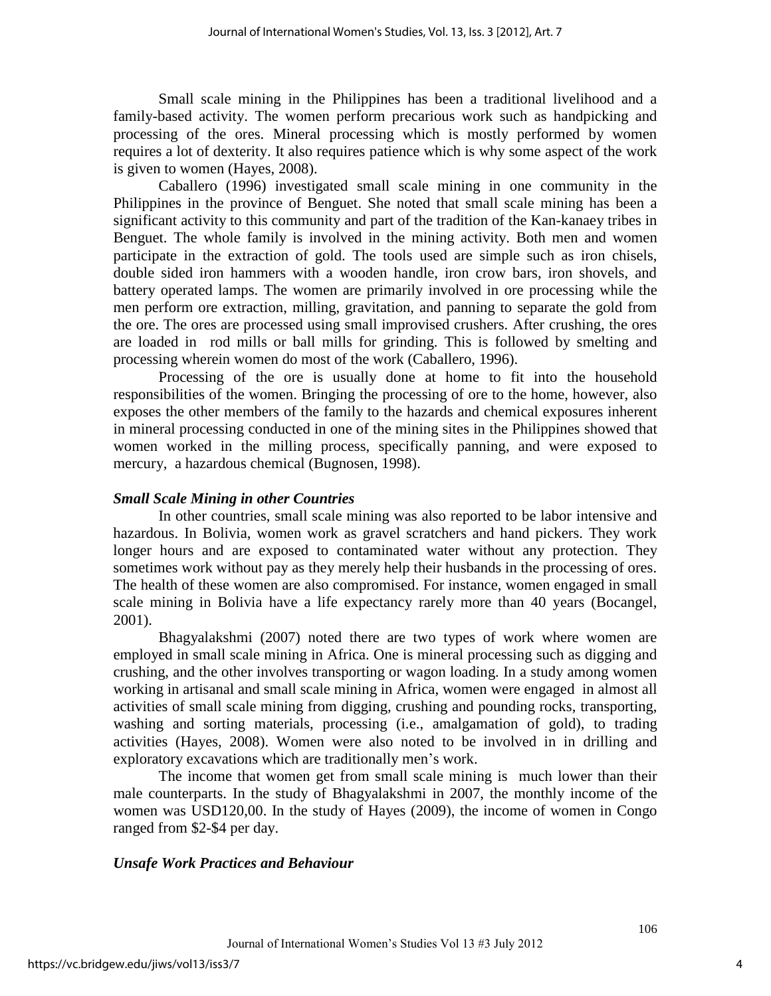Small scale mining in the Philippines has been a traditional livelihood and a family-based activity. The women perform precarious work such as handpicking and processing of the ores. Mineral processing which is mostly performed by women requires a lot of dexterity. It also requires patience which is why some aspect of the work is given to women (Hayes, 2008).

Caballero (1996) investigated small scale mining in one community in the Philippines in the province of Benguet. She noted that small scale mining has been a significant activity to this community and part of the tradition of the Kan-kanaey tribes in Benguet. The whole family is involved in the mining activity. Both men and women participate in the extraction of gold. The tools used are simple such as iron chisels, double sided iron hammers with a wooden handle, iron crow bars, iron shovels, and battery operated lamps. The women are primarily involved in ore processing while the men perform ore extraction, milling, gravitation, and panning to separate the gold from the ore. The ores are processed using small improvised crushers. After crushing, the ores are loaded in rod mills or ball mills for grinding. This is followed by smelting and processing wherein women do most of the work (Caballero, 1996).

Processing of the ore is usually done at home to fit into the household responsibilities of the women. Bringing the processing of ore to the home, however, also exposes the other members of the family to the hazards and chemical exposures inherent in mineral processing conducted in one of the mining sites in the Philippines showed that women worked in the milling process, specifically panning, and were exposed to mercury, a hazardous chemical (Bugnosen, 1998).

## *Small Scale Mining in other Countries*

In other countries, small scale mining was also reported to be labor intensive and hazardous. In Bolivia, women work as gravel scratchers and hand pickers. They work longer hours and are exposed to contaminated water without any protection. They sometimes work without pay as they merely help their husbands in the processing of ores. The health of these women are also compromised. For instance, women engaged in small scale mining in Bolivia have a life expectancy rarely more than 40 years (Bocangel, 2001).

Bhagyalakshmi (2007) noted there are two types of work where women are employed in small scale mining in Africa. One is mineral processing such as digging and crushing, and the other involves transporting or wagon loading. In a study among women working in artisanal and small scale mining in Africa, women were engaged in almost all activities of small scale mining from digging, crushing and pounding rocks, transporting, washing and sorting materials, processing (i.e., amalgamation of gold), to trading activities (Hayes, 2008). Women were also noted to be involved in in drilling and exploratory excavations which are traditionally men's work.

The income that women get from small scale mining is much lower than their male counterparts. In the study of Bhagyalakshmi in 2007, the monthly income of the women was USD120,00. In the study of Hayes (2009), the income of women in Congo ranged from \$2-\$4 per day.

## *Unsafe Work Practices and Behaviour*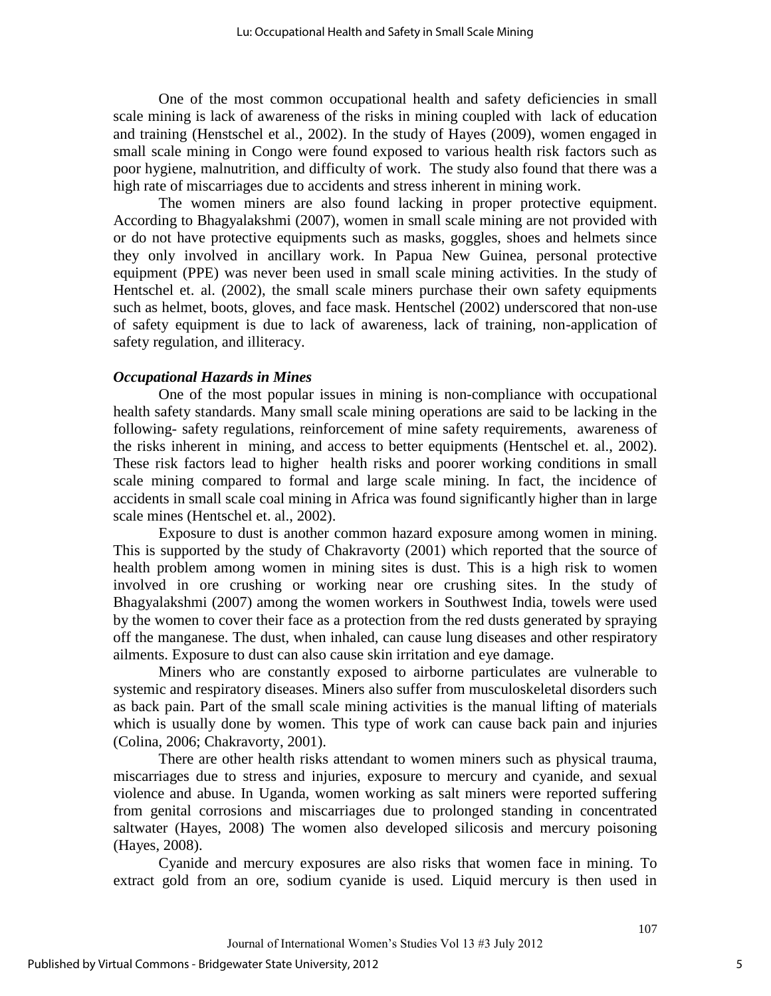One of the most common occupational health and safety deficiencies in small scale mining is lack of awareness of the risks in mining coupled with lack of education and training (Henstschel et al., 2002). In the study of Hayes (2009), women engaged in small scale mining in Congo were found exposed to various health risk factors such as poor hygiene, malnutrition, and difficulty of work. The study also found that there was a high rate of miscarriages due to accidents and stress inherent in mining work.

The women miners are also found lacking in proper protective equipment. According to Bhagyalakshmi (2007), women in small scale mining are not provided with or do not have protective equipments such as masks, goggles, shoes and helmets since they only involved in ancillary work. In Papua New Guinea, personal protective equipment (PPE) was never been used in small scale mining activities. In the study of Hentschel et. al. (2002), the small scale miners purchase their own safety equipments such as helmet, boots, gloves, and face mask. Hentschel (2002) underscored that non-use of safety equipment is due to lack of awareness, lack of training, non-application of safety regulation, and illiteracy.

#### *Occupational Hazards in Mines*

One of the most popular issues in mining is non-compliance with occupational health safety standards. Many small scale mining operations are said to be lacking in the following- safety regulations, reinforcement of mine safety requirements, awareness of the risks inherent in mining, and access to better equipments (Hentschel et. al., 2002). These risk factors lead to higher health risks and poorer working conditions in small scale mining compared to formal and large scale mining. In fact, the incidence of accidents in small scale coal mining in Africa was found significantly higher than in large scale mines (Hentschel et. al., 2002).

Exposure to dust is another common hazard exposure among women in mining. This is supported by the study of Chakravorty (2001) which reported that the source of health problem among women in mining sites is dust. This is a high risk to women involved in ore crushing or working near ore crushing sites. In the study of Bhagyalakshmi (2007) among the women workers in Southwest India, towels were used by the women to cover their face as a protection from the red dusts generated by spraying off the manganese. The dust, when inhaled, can cause lung diseases and other respiratory ailments. Exposure to dust can also cause skin irritation and eye damage.

Miners who are constantly exposed to airborne particulates are vulnerable to systemic and respiratory diseases. Miners also suffer from musculoskeletal disorders such as back pain. Part of the small scale mining activities is the manual lifting of materials which is usually done by women. This type of work can cause back pain and injuries (Colina, 2006; Chakravorty, 2001).

There are other health risks attendant to women miners such as physical trauma, miscarriages due to stress and injuries, exposure to mercury and cyanide, and sexual violence and abuse. In Uganda, women working as salt miners were reported suffering from genital corrosions and miscarriages due to prolonged standing in concentrated saltwater (Hayes, 2008) The women also developed silicosis and mercury poisoning (Hayes, 2008).

Cyanide and mercury exposures are also risks that women face in mining. To extract gold from an ore, sodium cyanide is used. Liquid mercury is then used in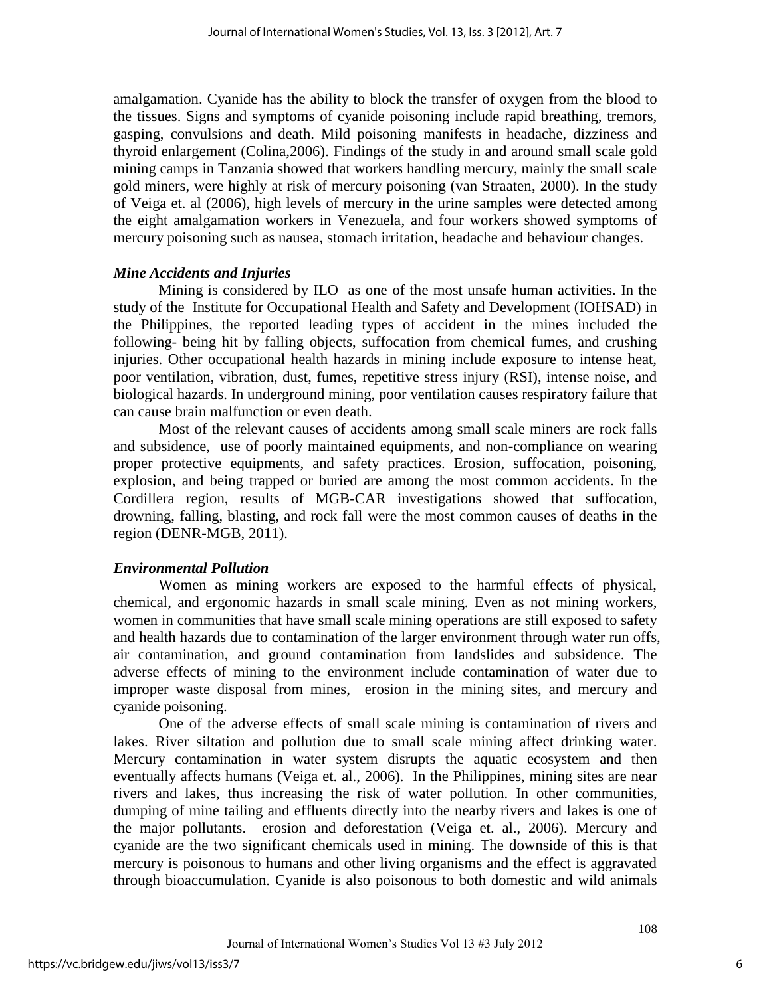amalgamation. Cyanide has the ability to block the transfer of oxygen from the blood to the tissues. Signs and symptoms of cyanide poisoning include rapid breathing, tremors, gasping, convulsions and death. Mild poisoning manifests in headache, dizziness and thyroid enlargement (Colina,2006). Findings of the study in and around small scale gold mining camps in Tanzania showed that workers handling mercury, mainly the small scale gold miners, were highly at risk of mercury poisoning (van Straaten, 2000). In the study of Veiga et. al (2006), high levels of mercury in the urine samples were detected among the eight amalgamation workers in Venezuela, and four workers showed symptoms of mercury poisoning such as nausea, stomach irritation, headache and behaviour changes.

#### *Mine Accidents and Injuries*

Mining is considered by ILO as one of the most unsafe human activities. In the study of the Institute for Occupational Health and Safety and Development (IOHSAD) in the Philippines, the reported leading types of accident in the mines included the following- being hit by falling objects, suffocation from chemical fumes, and crushing injuries. Other occupational health hazards in mining include exposure to intense heat, poor ventilation, vibration, dust, fumes, repetitive stress injury (RSI), intense noise, and biological hazards. In underground mining, poor ventilation causes respiratory failure that can cause brain malfunction or even death.

Most of the relevant causes of accidents among small scale miners are rock falls and subsidence, use of poorly maintained equipments, and non-compliance on wearing proper protective equipments, and safety practices. Erosion, suffocation, poisoning, explosion, and being trapped or buried are among the most common accidents. In the Cordillera region, results of MGB-CAR investigations showed that suffocation, drowning, falling, blasting, and rock fall were the most common causes of deaths in the region (DENR-MGB, 2011).

## *Environmental Pollution*

Women as mining workers are exposed to the harmful effects of physical, chemical, and ergonomic hazards in small scale mining. Even as not mining workers, women in communities that have small scale mining operations are still exposed to safety and health hazards due to contamination of the larger environment through water run offs, air contamination, and ground contamination from landslides and subsidence. The adverse effects of mining to the environment include contamination of water due to improper waste disposal from mines, erosion in the mining sites, and mercury and cyanide poisoning.

One of the adverse effects of small scale mining is contamination of rivers and lakes. River siltation and pollution due to small scale mining affect drinking water. Mercury contamination in water system disrupts the aquatic ecosystem and then eventually affects humans (Veiga et. al., 2006). In the Philippines, mining sites are near rivers and lakes, thus increasing the risk of water pollution. In other communities, dumping of mine tailing and effluents directly into the nearby rivers and lakes is one of the major pollutants. erosion and deforestation (Veiga et. al., 2006). Mercury and cyanide are the two significant chemicals used in mining. The downside of this is that mercury is poisonous to humans and other living organisms and the effect is aggravated through bioaccumulation. Cyanide is also poisonous to both domestic and wild animals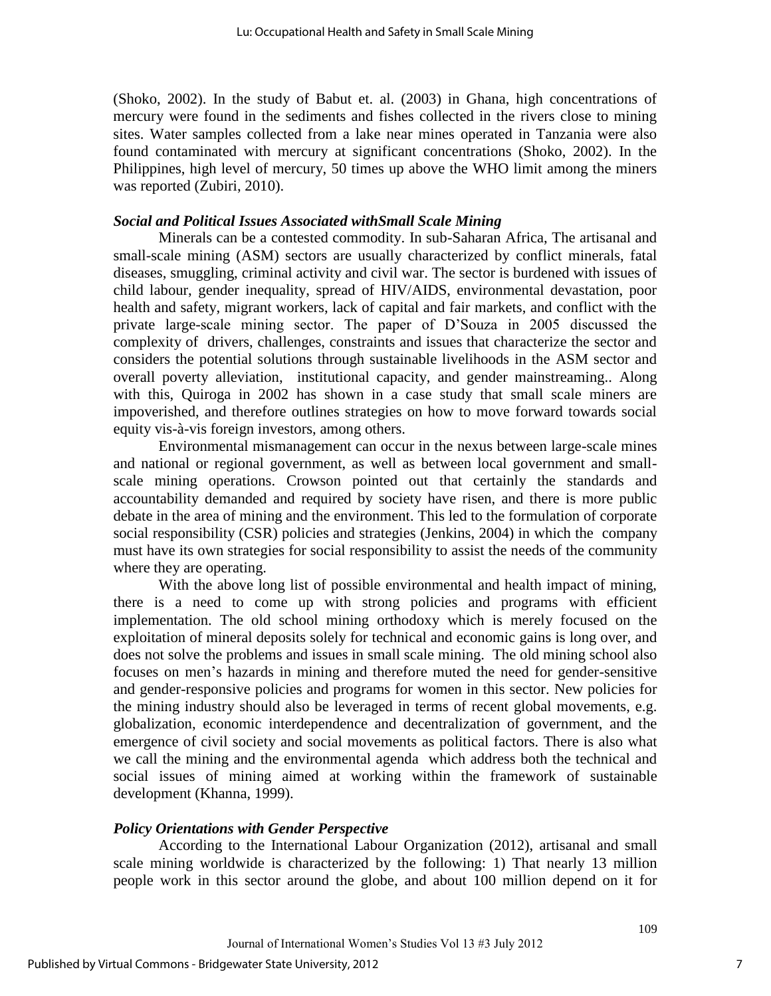(Shoko, 2002). In the study of Babut et. al. (2003) in Ghana, high concentrations of mercury were found in the sediments and fishes collected in the rivers close to mining sites. Water samples collected from a lake near mines operated in Tanzania were also found contaminated with mercury at significant concentrations (Shoko, 2002). In the Philippines, high level of mercury, 50 times up above the WHO limit among the miners was reported (Zubiri, 2010).

#### *Social and Political Issues Associated withSmall Scale Mining*

Minerals can be a contested commodity. In sub-Saharan Africa, The artisanal and small-scale mining (ASM) sectors are usually characterized by conflict minerals, fatal diseases, smuggling, criminal activity and civil war. The sector is burdened with issues of child labour, gender inequality, spread of HIV/AIDS, environmental devastation, poor health and safety, migrant workers, lack of capital and fair markets, and conflict with the private large-scale mining sector. The paper of D'Souza in 2005 discussed the complexity of drivers, challenges, constraints and issues that characterize the sector and considers the potential solutions through sustainable livelihoods in the ASM sector and overall poverty alleviation, institutional capacity, and gender mainstreaming.. Along with this, Quiroga in 2002 has shown in a case study that small scale miners are impoverished, and therefore outlines strategies on how to move forward towards social equity vis-à-vis foreign investors, among others.

Environmental mismanagement can occur in the nexus between large-scale mines and national or regional government, as well as between local government and smallscale mining operations. Crowson pointed out that certainly the standards and accountability demanded and required by society have risen, and there is more public debate in the area of mining and the environment. This led to the formulation of corporate social responsibility (CSR) policies and strategies (Jenkins, 2004) in which the company must have its own strategies for social responsibility to assist the needs of the community where they are operating.

With the above long list of possible environmental and health impact of mining, there is a need to come up with strong policies and programs with efficient implementation. The old school mining orthodoxy which is merely focused on the exploitation of mineral deposits solely for technical and economic gains is long over, and does not solve the problems and issues in small scale mining. The old mining school also focuses on men's hazards in mining and therefore muted the need for gender-sensitive and gender-responsive policies and programs for women in this sector. New policies for the mining industry should also be leveraged in terms of recent global movements, e.g. globalization, economic interdependence and decentralization of government, and the emergence of civil society and social movements as political factors. There is also what we call the mining and the environmental agenda which address both the technical and social issues of mining aimed at working within the framework of sustainable development (Khanna, 1999).

## *Policy Orientations with Gender Perspective*

According to the International Labour Organization (2012), artisanal and small scale mining worldwide is characterized by the following: 1) That nearly 13 million people work in this sector around the globe, and about 100 million depend on it for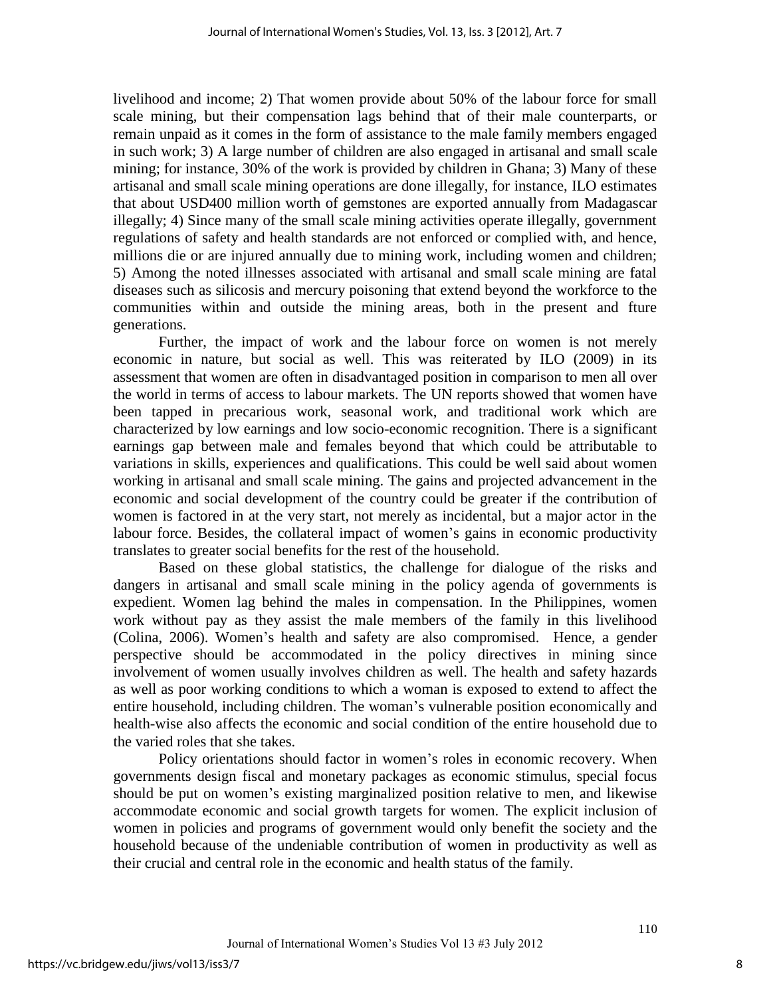livelihood and income; 2) That women provide about 50% of the labour force for small scale mining, but their compensation lags behind that of their male counterparts, or remain unpaid as it comes in the form of assistance to the male family members engaged in such work; 3) A large number of children are also engaged in artisanal and small scale mining; for instance, 30% of the work is provided by children in Ghana; 3) Many of these artisanal and small scale mining operations are done illegally, for instance, ILO estimates that about USD400 million worth of gemstones are exported annually from Madagascar illegally; 4) Since many of the small scale mining activities operate illegally, government regulations of safety and health standards are not enforced or complied with, and hence, millions die or are injured annually due to mining work, including women and children; 5) Among the noted illnesses associated with artisanal and small scale mining are fatal diseases such as silicosis and mercury poisoning that extend beyond the workforce to the communities within and outside the mining areas, both in the present and fture generations.

Further, the impact of work and the labour force on women is not merely economic in nature, but social as well. This was reiterated by ILO (2009) in its assessment that women are often in disadvantaged position in comparison to men all over the world in terms of access to labour markets. The UN reports showed that women have been tapped in precarious work, seasonal work, and traditional work which are characterized by low earnings and low socio-economic recognition. There is a significant earnings gap between male and females beyond that which could be attributable to variations in skills, experiences and qualifications. This could be well said about women working in artisanal and small scale mining. The gains and projected advancement in the economic and social development of the country could be greater if the contribution of women is factored in at the very start, not merely as incidental, but a major actor in the labour force. Besides, the collateral impact of women's gains in economic productivity translates to greater social benefits for the rest of the household.

Based on these global statistics, the challenge for dialogue of the risks and dangers in artisanal and small scale mining in the policy agenda of governments is expedient. Women lag behind the males in compensation. In the Philippines, women work without pay as they assist the male members of the family in this livelihood (Colina, 2006). Women's health and safety are also compromised. Hence, a gender perspective should be accommodated in the policy directives in mining since involvement of women usually involves children as well. The health and safety hazards as well as poor working conditions to which a woman is exposed to extend to affect the entire household, including children. The woman's vulnerable position economically and health-wise also affects the economic and social condition of the entire household due to the varied roles that she takes.

Policy orientations should factor in women's roles in economic recovery. When governments design fiscal and monetary packages as economic stimulus, special focus should be put on women's existing marginalized position relative to men, and likewise accommodate economic and social growth targets for women. The explicit inclusion of women in policies and programs of government would only benefit the society and the household because of the undeniable contribution of women in productivity as well as their crucial and central role in the economic and health status of the family.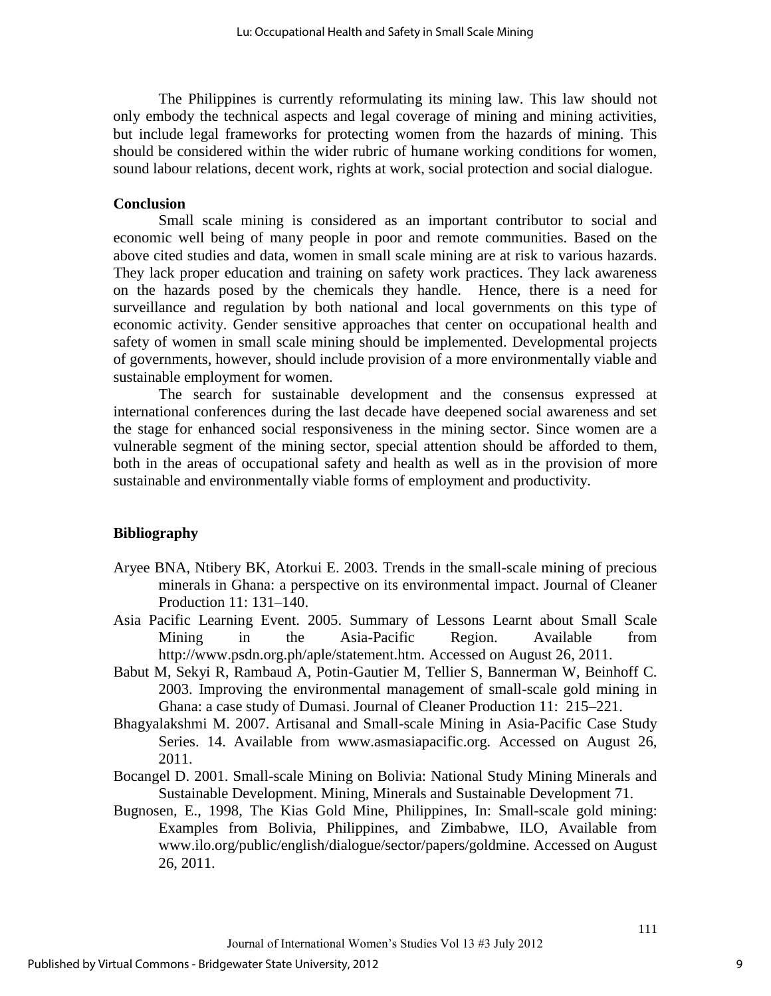The Philippines is currently reformulating its mining law. This law should not only embody the technical aspects and legal coverage of mining and mining activities, but include legal frameworks for protecting women from the hazards of mining. This should be considered within the wider rubric of humane working conditions for women, sound labour relations, decent work, rights at work, social protection and social dialogue.

#### **Conclusion**

Small scale mining is considered as an important contributor to social and economic well being of many people in poor and remote communities. Based on the above cited studies and data, women in small scale mining are at risk to various hazards. They lack proper education and training on safety work practices. They lack awareness on the hazards posed by the chemicals they handle. Hence, there is a need for surveillance and regulation by both national and local governments on this type of economic activity. Gender sensitive approaches that center on occupational health and safety of women in small scale mining should be implemented. Developmental projects of governments, however, should include provision of a more environmentally viable and sustainable employment for women.

The search for sustainable development and the consensus expressed at international conferences during the last decade have deepened social awareness and set the stage for enhanced social responsiveness in the mining sector. Since women are a vulnerable segment of the mining sector, special attention should be afforded to them, both in the areas of occupational safety and health as well as in the provision of more sustainable and environmentally viable forms of employment and productivity.

#### **Bibliography**

- Aryee BNA, Ntibery BK, Atorkui E. 2003. Trends in the small-scale mining of precious minerals in Ghana: a perspective on its environmental impact. Journal of Cleaner Production 11: 131–140.
- Asia Pacific Learning Event. 2005. Summary of Lessons Learnt about Small Scale Mining in the Asia-Pacific Region. Available from [http://www.psdn.org.ph/aple/statement.htm. Accessed on August 26,](http://www.psdn.org.ph/aple/statement.htm.%20Accessed%20on%20August%2026) 2011.
- Babut M, Sekyi R, Rambaud A, Potin-Gautier M, Tellier S, Bannerman W, Beinhoff C. 2003. Improving the environmental management of small-scale gold mining in Ghana: a case study of Dumasi. Journal of Cleaner Production 11: 215–221.
- Bhagyalakshmi M. 2007. Artisanal and Small-scale Mining in Asia-Pacific Case Study Series. 14. Available from [www.asmasiapacific.org.](http://www.asmasiapacific.org/) Accessed on August 26, 2011.
- Bocangel D. 2001. Small-scale Mining on Bolivia: National Study Mining Minerals and Sustainable Development. Mining, Minerals and Sustainable Development 71.
- Bugnosen, E., 1998, The Kias Gold Mine, Philippines, In: Small-scale gold mining: Examples from Bolivia, Philippines, and Zimbabwe, ILO, Available from [www.ilo.org/public/english/d](http://www.ilo.org/public/english/)ialogue/sector/papers/goldmine. Accessed on August 26, 2011.

111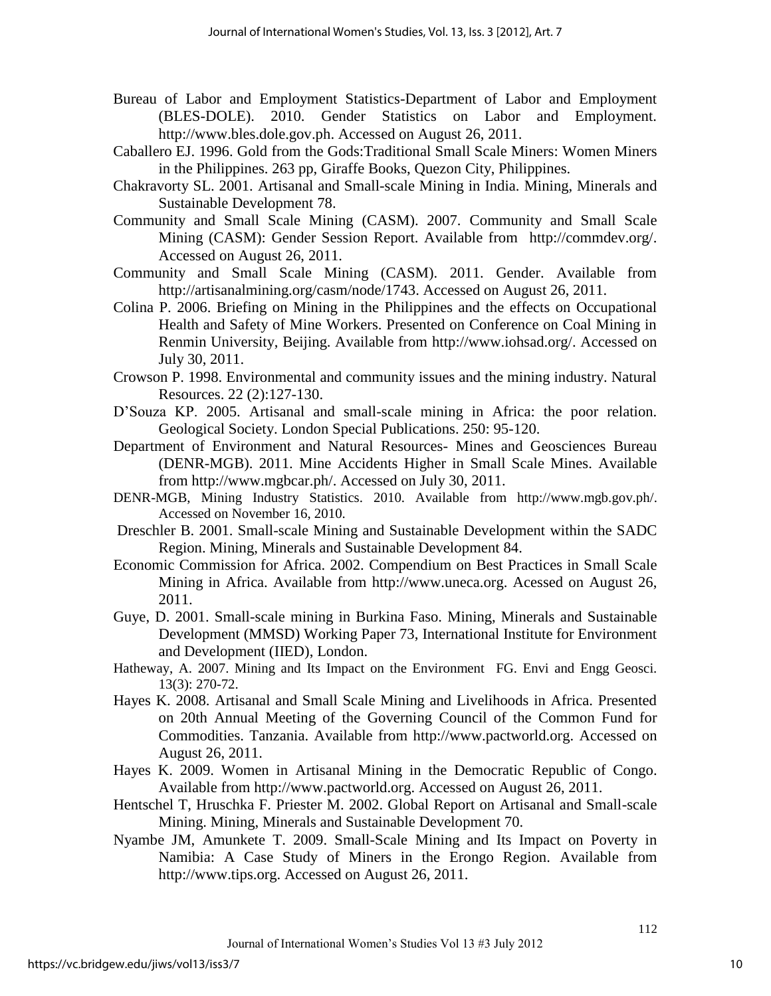- Bureau of Labor and Employment Statistics-Department of Labor and Employment (BLES-DOLE). 2010. Gender Statistics on Labor and Employment. [http://www.bles.dole.gov.ph.](http://www.bles.dole.gov.ph/) Accessed on August 26, 2011.
- Caballero EJ. 1996. Gold from the Gods:Traditional Small Scale Miners: Women Miners in the Philippines. 263 pp, Giraffe Books, Quezon City, Philippines.
- Chakravorty SL. 2001. Artisanal and Small-scale Mining in India. Mining, Minerals and Sustainable Development 78.
- Community and Small Scale Mining (CASM). 2007. Community and Small Scale Mining (CASM): Gender Session Report. Available from [http://commdev.org/.](http://commdev.org/) Accessed on August 26, 2011.
- Community and Small Scale Mining (CASM). 2011. Gender. Available from [http://artisanalmining.org/casm/node/1743. Accessed on August 26,](http://artisanalmining.org/casm/node/1743.%20Accessed%20on%20August%2026) 2011.
- Colina P. 2006. Briefing on Mining in the Philippines and the effects on Occupational Health and Safety of Mine Workers. Presented on Conference on Coal Mining in Renmin University, Beijing. Available from [http://www.iohsad.org/.](http://www.iohsad.org/) Accessed on July 30, 2011.
- Crowson P. 1998. Environmental and community issues and the mining industry. Natural Resources. 22 (2):127-130.
- D'Souza KP. 2005. Artisanal and small-scale mining in Africa: the poor relation. Geological Society. London Special Publications. 250: 95-120.
- Department of Environment and Natural Resources- Mines and Geosciences Bureau (DENR-MGB). 2011. [Mine Accidents Higher in Small Scale Mines.](http://www.mgbcar.ph/?q=content/mine-accidents-higher-small-scale-mines) Available from [http://www.mgbcar.ph/.](http://www.mgbcar.ph/) Accessed on July 30, 2011.
- DENR-MGB, Mining Industry Statistics. 2010. Available from [http://www.mgb.gov.ph/.](http://www.mgb.gov.ph/pgs.aspx?pgsid=9) Accessed on November 16, 2010.
- Dreschler B. 2001. Small-scale Mining and Sustainable Development within the SADC Region. Mining, Minerals and Sustainable Development 84.
- Economic Commission for Africa. 2002. Compendium on Best Practices in Small Scale Mining in Africa. Available from http://www.uneca.org. Acessed on August 26, 2011.
- Guye, D. 2001. Small-scale mining in Burkina Faso. Mining, Minerals and Sustainable Development (MMSD) Working Paper 73, International Institute for Environment and Development (IIED), London.
- Hatheway, A. 2007. Mining and Its Impact on the Environment FG. Envi and Engg Geosci. 13(3): 270-72.
- Hayes K. 2008. Artisanal and Small Scale Mining and Livelihoods in Africa. Presented on 20th Annual Meeting of the Governing Council of the Common Fund for Commodities. Tanzania. Available from [http://www.pactworld.org.](http://www.pactworld.org/) Accessed on August 26, 2011.
- Hayes K. 2009. Women in Artisanal Mining in the Democratic Republic of Congo. Available from [http://www.pactworld.org.](http://www.pactworld.org/) Accessed on August 26, 2011.
- Hentschel T, Hruschka F. Priester M. 2002. Global Report on Artisanal and Small-scale Mining. Mining, Minerals and Sustainable Development 70.
- Nyambe JM, Amunkete T. 2009. Small-Scale Mining and Its Impact on Poverty in Namibia: A Case Study of Miners in the Erongo Region. Available from [http://www.tips.org.](http://www.tips.org/) Accessed on August 26, 2011.

112